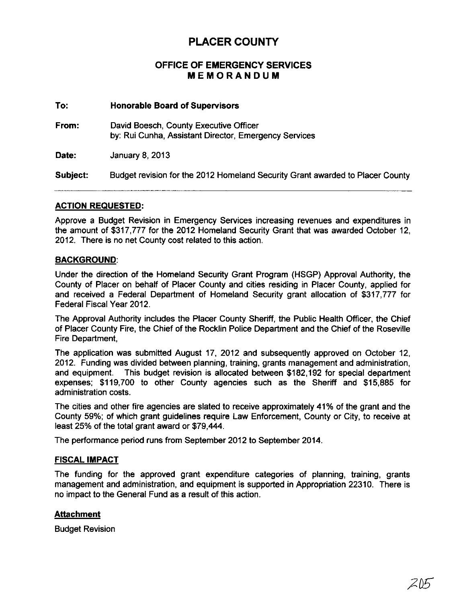# PLACER COUNTY

# OFFICE OF EMERGENCY SERVICES MEMORANDUM

#### To: Honorable Board of Supervisors

From: David Boesch, County Executive Officer by: Rui Cunha, Assistant Director, Emergency Services

Date: January 8, 2013

Subject: Budget revision for the 2012 Homeland Security Grant awarded to Placer County

### ACTION REQUESTED:

Approve a Budget Revision in Emergency Services increasing revenues and expenditures in the amount of \$317,777 for the 2012 Homeland Security Grant that was awarded October 12, 2012, There is no net County cost related to this action,

### BACKGROUND:

Under the direction of the Homeland Security Grant Program (HSGP) Approval Authority, the County of Placer on behalf of Placer County and cities residing in Placer County, applied for and received a Federal Department of Homeland Security grant allocation of \$317,777 for Federal Fiscal Year 2012,

The Approval Authority includes the Placer County Sheriff, the Public Health Officer, the Chief of Placer County Fire, the Chief of the Rocklin Police Department and the Chief of the Roseville Fire Department,

The application was submitted August 17, 2012 and subsequently approved on October 12, 2012, Funding was divided between planning, training, grants management and administration, and equipment. This budget revision is allocated between \$182,192 for special department expenses; \$119,700 to other County agencies such as the Sheriff and \$15,885 for administration costs,

The cities and other fire agencies are slated to receive approximately 41% of the grant and the County 59%; of which grant guidelines require Law Enforcement, County or City, to receive at least 25% of the total grant award or \$79,444,

The performance period runs from September 2012 to September 2014,

## FISCAL IMPACT

The funding for the approved grant expenditure categories of planning, training, grants management and administration, and equipment is supported in Appropriation 22310, There is no impact to the General Fund as a result of this action,

#### Attachment

Budget Revision